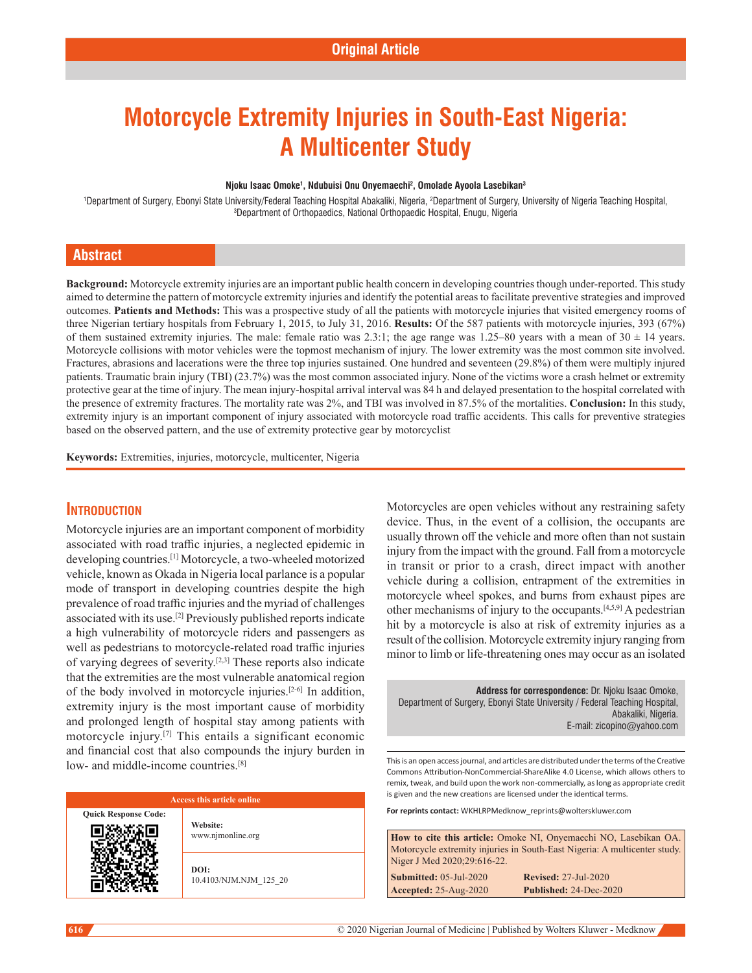# **Motorcycle Extremity Injuries in South-East Nigeria: A Multicenter Study**

#### **Njoku Isaac Omoke1 , Ndubuisi Onu Onyemaechi2 , Omolade Ayoola Lasebikan3**

Department of Surgery, Ebonyi State University/Federal Teaching Hospital Abakaliki, Nigeria, <sup>2</sup>Department of Surgery, University of Nigeria Teaching Hospital,<br><sup>3</sup>Department of Orthonaedics, National Orthonaedic Hospital, Department of Orthopaedics, National Orthopaedic Hospital, Enugu, Nigeria

#### **Abstract**

Background: Motorcycle extremity injuries are an important public health concern in developing countries though under-reported. This study aimed to determine the pattern of motorcycle extremity injuries and identify the potential areas to facilitate preventive strategies and improved outcomes. **Patients and Methods:** This was a prospective study of all the patients with motorcycle injuries that visited emergency rooms of three Nigerian tertiary hospitals from February 1, 2015, to July 31, 2016. **Results:** Of the 587 patients with motorcycle injuries, 393 (67%) of them sustained extremity injuries. The male: female ratio was 2.3:1; the age range was 1.25–80 years with a mean of  $30 \pm 14$  years. Motorcycle collisions with motor vehicles were the topmost mechanism of injury. The lower extremity was the most common site involved. Fractures, abrasions and lacerations were the three top injuries sustained. One hundred and seventeen (29.8%) of them were multiply injured patients. Traumatic brain injury (TBI) (23.7%) was the most common associated injury. None of the victims wore a crash helmet or extremity protective gear at the time of injury. The mean injury-hospital arrival interval was 84 h and delayed presentation to the hospital correlated with the presence of extremity fractures. The mortality rate was 2%, and TBI was involved in 87.5% of the mortalities. **Conclusion:** In this study, extremity injury is an important component of injury associated with motorcycle road traffic accidents. This calls for preventive strategies based on the observed pattern, and the use of extremity protective gear by motorcyclist

**Keywords:** Extremities, injuries, motorcycle, multicenter, Nigeria

#### **Introduction**

Motorcycle injuries are an important component of morbidity associated with road traffic injuries, a neglected epidemic in developing countries.[1] Motorcycle, a two-wheeled motorized vehicle, known as Okada in Nigeria local parlance is a popular mode of transport in developing countries despite the high prevalence of road traffic injuries and the myriad of challenges associated with its use.[2] Previously published reports indicate a high vulnerability of motorcycle riders and passengers as well as pedestrians to motorcycle-related road traffic injuries of varying degrees of severity.[2,3] These reports also indicate that the extremities are the most vulnerable anatomical region of the body involved in motorcycle injuries.[2-6] In addition, extremity injury is the most important cause of morbidity and prolonged length of hospital stay among patients with motorcycle injury.[7] This entails a significant economic and financial cost that also compounds the injury burden in low- and middle-income countries.<sup>[8]</sup>

#### **Access this article online**

**Quick Response Code:**

**Website:** www.njmonline.org

**DOI:** 10.4103/NJM.NJM\_125\_20 Motorcycles are open vehicles without any restraining safety device. Thus, in the event of a collision, the occupants are usually thrown off the vehicle and more often than not sustain injury from the impact with the ground. Fall from a motorcycle in transit or prior to a crash, direct impact with another vehicle during a collision, entrapment of the extremities in motorcycle wheel spokes, and burns from exhaust pipes are other mechanisms of injury to the occupants.[4,5,9] A pedestrian hit by a motorcycle is also at risk of extremity injuries as a result of the collision. Motorcycle extremity injury ranging from minor to limb or life-threatening ones may occur as an isolated

**Address for correspondence:** Dr. Njoku Isaac Omoke, Department of Surgery, Ebonyi State University / Federal Teaching Hospital, Abakaliki, Nigeria. E-mail: zicopino@yahoo.com

This is an open access journal, and articles are distributed under the terms of the Creative Commons Attribution‑NonCommercial‑ShareAlike 4.0 License, which allows others to remix, tweak, and build upon the work non‑commercially, as long as appropriate credit is given and the new creations are licensed under the identical terms.

**For reprints contact:** WKHLRPMedknow\_reprints@wolterskluwer.com

**How to cite this article:** Omoke NI, Onyemaechi NO, Lasebikan OA. Motorcycle extremity injuries in South-East Nigeria: A multicenter study. Niger J Med 2020;29:616-22. **Submitted:** 05-Jul-2020 **Revised:** 27-Jul-2020

**Accepted:** 25-Aug-2020 **Published:** 24-Dec-2020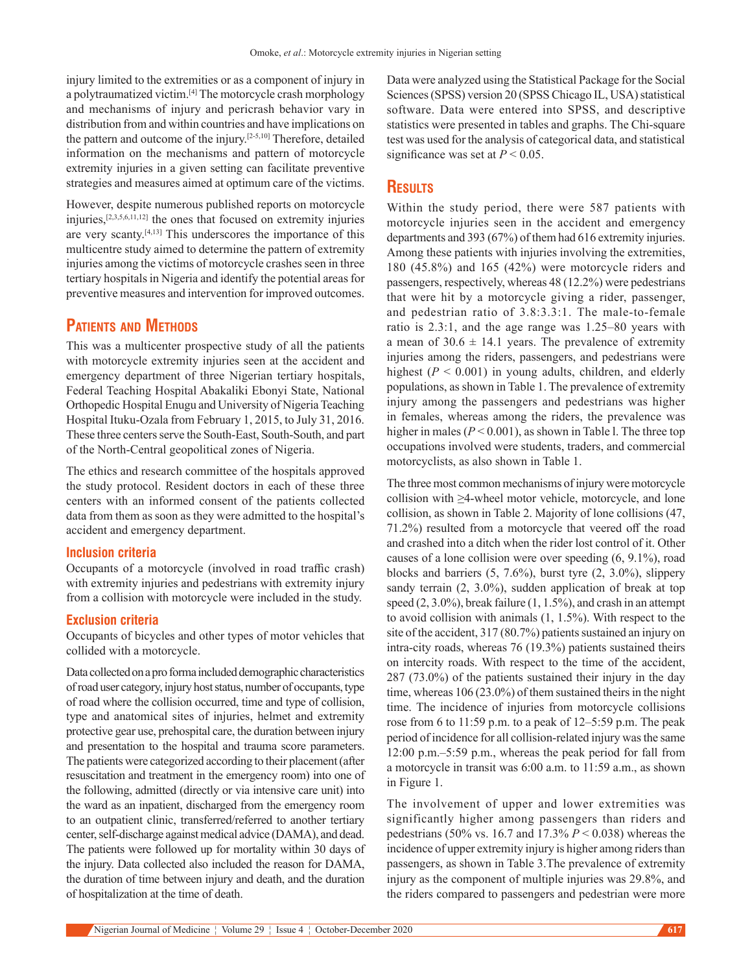injury limited to the extremities or as a component of injury in a polytraumatized victim.[4] The motorcycle crash morphology and mechanisms of injury and pericrash behavior vary in distribution from and within countries and have implications on the pattern and outcome of the injury.[2-5,10] Therefore, detailed information on the mechanisms and pattern of motorcycle extremity injuries in a given setting can facilitate preventive strategies and measures aimed at optimum care of the victims.

However, despite numerous published reports on motorcycle injuries,[2,3,5,6,11,12] the ones that focused on extremity injuries are very scanty.[4,13] This underscores the importance of this multicentre study aimed to determine the pattern of extremity injuries among the victims of motorcycle crashes seen in three tertiary hospitals in Nigeria and identify the potential areas for preventive measures and intervention for improved outcomes.

## **Patients and Methods**

This was a multicenter prospective study of all the patients with motorcycle extremity injuries seen at the accident and emergency department of three Nigerian tertiary hospitals, Federal Teaching Hospital Abakaliki Ebonyi State, National Orthopedic Hospital Enugu and University of Nigeria Teaching Hospital Ituku‑Ozala from February 1, 2015, to July 31, 2016. These three centers serve the South-East, South-South, and part of the North‑Central geopolitical zones of Nigeria.

The ethics and research committee of the hospitals approved the study protocol. Resident doctors in each of these three centers with an informed consent of the patients collected data from them as soon as they were admitted to the hospital's accident and emergency department.

#### **Inclusion criteria**

Occupants of a motorcycle (involved in road traffic crash) with extremity injuries and pedestrians with extremity injury from a collision with motorcycle were included in the study.

#### **Exclusion criteria**

Occupants of bicycles and other types of motor vehicles that collided with a motorcycle.

Data collected on a pro forma included demographic characteristics of road user category, injury host status, number of occupants, type of road where the collision occurred, time and type of collision, type and anatomical sites of injuries, helmet and extremity protective gear use, prehospital care, the duration between injury and presentation to the hospital and trauma score parameters. The patients were categorized according to their placement(after resuscitation and treatment in the emergency room) into one of the following, admitted (directly or via intensive care unit) into the ward as an inpatient, discharged from the emergency room to an outpatient clinic, transferred/referred to another tertiary center, self‑discharge against medical advice (DAMA), and dead. The patients were followed up for mortality within 30 days of the injury. Data collected also included the reason for DAMA, the duration of time between injury and death, and the duration of hospitalization at the time of death.

Data were analyzed using the Statistical Package for the Social Sciences(SPSS) version 20 (SPSS Chicago IL, USA) statistical software. Data were entered into SPSS, and descriptive statistics were presented in tables and graphs. The Chi-square test was used for the analysis of categorical data, and statistical significance was set at  $P < 0.05$ .

#### **Results**

Within the study period, there were 587 patients with motorcycle injuries seen in the accident and emergency departments and 393 (67%) of them had 616 extremity injuries. Among these patients with injuries involving the extremities, 180 (45.8%) and 165 (42%) were motorcycle riders and passengers, respectively, whereas 48 (12.2%) were pedestrians that were hit by a motorcycle giving a rider, passenger, and pedestrian ratio of 3.8:3.3:1. The male-to-female ratio is 2.3:1, and the age range was 1.25–80 years with a mean of  $30.6 \pm 14.1$  years. The prevalence of extremity injuries among the riders, passengers, and pedestrians were highest  $(P < 0.001)$  in young adults, children, and elderly populations, as shown in Table 1. The prevalence of extremity injury among the passengers and pedestrians was higher in females, whereas among the riders, the prevalence was higher in males (*P* < 0.001), as shown in Table l. The three top occupations involved were students, traders, and commercial motorcyclists, as also shown in Table 1.

The three most common mechanisms of injury were motorcycle collision with ≥4‑wheel motor vehicle, motorcycle, and lone collision, as shown in Table 2. Majority of lone collisions (47, 71.2%) resulted from a motorcycle that veered off the road and crashed into a ditch when the rider lost control of it. Other causes of a lone collision were over speeding (6, 9.1%), road blocks and barriers (5, 7.6%), burst tyre (2, 3.0%), slippery sandy terrain (2, 3.0%), sudden application of break at top speed (2, 3.0%), break failure (1, 1.5%), and crash in an attempt to avoid collision with animals (1, 1.5%). With respect to the site of the accident, 317 (80.7%) patients sustained an injury on intra-city roads, whereas 76 (19.3%) patients sustained theirs on intercity roads. With respect to the time of the accident, 287 (73.0%) of the patients sustained their injury in the day time, whereas 106 (23.0%) of them sustained theirs in the night time. The incidence of injuries from motorcycle collisions rose from 6 to 11:59 p.m. to a peak of 12–5:59 p.m. The peak period of incidence for all collision-related injury was the same 12:00 p.m.–5:59 p.m., whereas the peak period for fall from a motorcycle in transit was 6:00 a.m. to 11:59 a.m., as shown in Figure 1.

The involvement of upper and lower extremities was significantly higher among passengers than riders and pedestrians (50% vs. 16.7 and 17.3% *P* < 0.038) whereas the incidence of upper extremity injury is higher among riders than passengers, as shown in Table 3.The prevalence of extremity injury as the component of multiple injuries was 29.8%, and the riders compared to passengers and pedestrian were more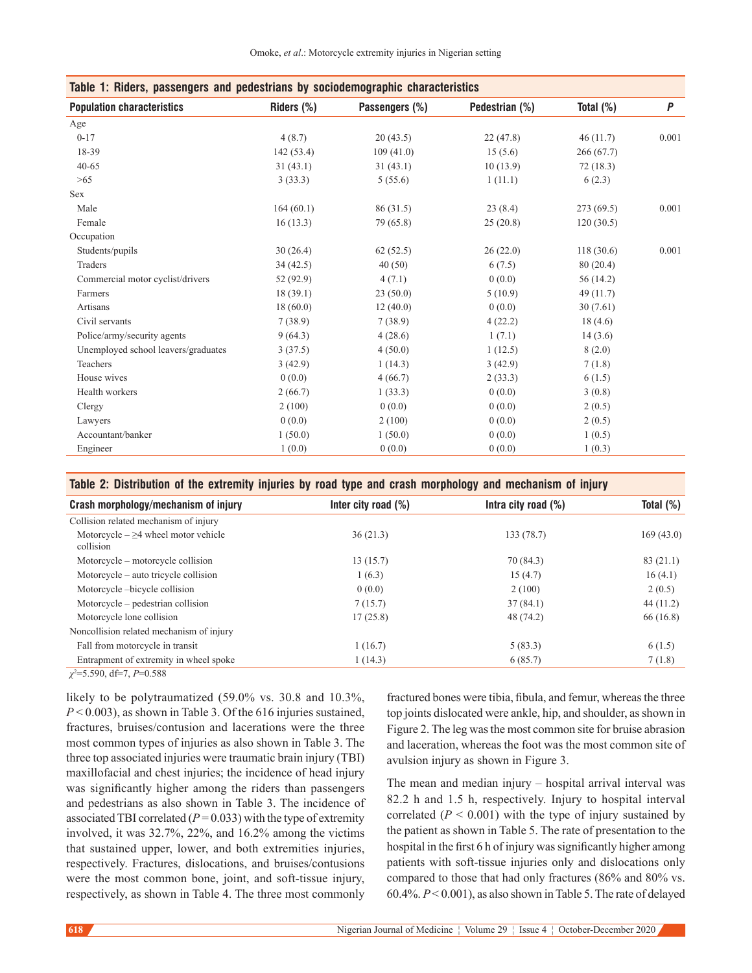| Table 1: Riders, passengers and pedestrians by sociodemographic characteristics |            |                |                |              |           |  |
|---------------------------------------------------------------------------------|------------|----------------|----------------|--------------|-----------|--|
| <b>Population characteristics</b>                                               | Riders (%) | Passengers (%) | Pedestrian (%) | Total $(\%)$ | $\pmb{P}$ |  |
| Age                                                                             |            |                |                |              |           |  |
| $0 - 17$                                                                        | 4(8.7)     | 20(43.5)       | 22(47.8)       | 46(11.7)     | 0.001     |  |
| 18-39                                                                           | 142(53.4)  | 109(41.0)      | 15(5.6)        | 266(67.7)    |           |  |
| $40 - 65$                                                                       | 31(43.1)   | 31(43.1)       | 10(13.9)       | 72(18.3)     |           |  |
| >65                                                                             | 3(33.3)    | 5(55.6)        | 1(11.1)        | 6(2.3)       |           |  |
| <b>Sex</b>                                                                      |            |                |                |              |           |  |
| Male                                                                            | 164(60.1)  | 86 (31.5)      | 23(8.4)        | 273(69.5)    | 0.001     |  |
| Female                                                                          | 16(13.3)   | 79 (65.8)      | 25(20.8)       | 120(30.5)    |           |  |
| Occupation                                                                      |            |                |                |              |           |  |
| Students/pupils                                                                 | 30(26.4)   | 62(52.5)       | 26(22.0)       | 118(30.6)    | 0.001     |  |
| Traders                                                                         | 34(42.5)   | 40(50)         | 6(7.5)         | 80(20.4)     |           |  |
| Commercial motor cyclist/drivers                                                | 52 (92.9)  | 4(7.1)         | 0(0.0)         | 56 (14.2)    |           |  |
| Farmers                                                                         | 18(39.1)   | 23(50.0)       | 5(10.9)        | 49 (11.7)    |           |  |
| Artisans                                                                        | 18(60.0)   | 12(40.0)       | 0(0.0)         | 30(7.61)     |           |  |
| Civil servants                                                                  | 7(38.9)    | 7(38.9)        | 4(22.2)        | 18(4.6)      |           |  |
| Police/army/security agents                                                     | 9(64.3)    | 4(28.6)        | 1(7.1)         | 14(3.6)      |           |  |
| Unemployed school leavers/graduates                                             | 3(37.5)    | 4(50.0)        | 1(12.5)        | 8(2.0)       |           |  |
| Teachers                                                                        | 3(42.9)    | 1(14.3)        | 3(42.9)        | 7(1.8)       |           |  |
| House wives                                                                     | 0(0.0)     | 4(66.7)        | 2(33.3)        | 6(1.5)       |           |  |
| Health workers                                                                  | 2(66.7)    | 1(33.3)        | 0(0.0)         | 3(0.8)       |           |  |
| Clergy                                                                          | 2(100)     | 0(0.0)         | 0(0.0)         | 2(0.5)       |           |  |
| Lawyers                                                                         | 0(0.0)     | 2(100)         | 0(0.0)         | 2(0.5)       |           |  |
| Accountant/banker                                                               | 1(50.0)    | 1(50.0)        | 0(0.0)         | 1(0.5)       |           |  |
| Engineer                                                                        | 1(0.0)     | 0(0.0)         | 0(0.0)         | 1(0.3)       |           |  |

**Table 2: Distribution of the extremity injuries by road type and crash morphology and mechanism of injury**

| Crash morphology/mechanism of injury                  | Inter city road $(\%)$ | Intra city road $(\%)$ | Total $(\%)$ |
|-------------------------------------------------------|------------------------|------------------------|--------------|
| Collision related mechanism of injury                 |                        |                        |              |
| Motorcycle $-\geq 4$ wheel motor vehicle<br>collision | 36(21.3)               | 133 (78.7)             | 169(43.0)    |
| Motorcycle – motorcycle collision                     | 13(15.7)               | 70 (84.3)              | 83(21.1)     |
| Motorcycle – auto tricycle collision                  | 1(6.3)                 | 15(4.7)                | 16(4.1)      |
| Motorcycle-bicycle collision                          | 0(0.0)                 | 2(100)                 | 2(0.5)       |
| Motorcycle – pedestrian collision                     | 7(15.7)                | 37(84.1)               | 44(11.2)     |
| Motorcycle lone collision                             | 17(25.8)               | 48 (74.2)              | 66(16.8)     |
| Noncollision related mechanism of injury              |                        |                        |              |
| Fall from motorcycle in transit                       | 1(16.7)                | 5(83.3)                | 6(1.5)       |
| Entrapment of extremity in wheel spoke                | 1(14.3)                | 6(85.7)                | 7(1.8)       |
|                                                       |                        |                        |              |

*χ*2 =5.590, df=7, *P*=0.588

likely to be polytraumatized (59.0% vs. 30.8 and 10.3%, *P* < 0.003), as shown in Table 3. Of the 616 injuries sustained, fractures, bruises/contusion and lacerations were the three most common types of injuries as also shown in Table 3. The three top associated injuries were traumatic brain injury (TBI) maxillofacial and chest injuries; the incidence of head injury was significantly higher among the riders than passengers and pedestrians as also shown in Table 3. The incidence of associated TBI correlated  $(P = 0.033)$  with the type of extremity involved, it was 32.7%, 22%, and 16.2% among the victims that sustained upper, lower, and both extremities injuries, respectively. Fractures, dislocations, and bruises/contusions were the most common bone, joint, and soft-tissue injury, respectively, as shown in Table 4. The three most commonly fractured bones were tibia, fibula, and femur, whereas the three top joints dislocated were ankle, hip, and shoulder, as shown in Figure 2. The leg was the most common site for bruise abrasion and laceration, whereas the foot was the most common site of avulsion injury as shown in Figure 3.

The mean and median injury – hospital arrival interval was 82.2 h and 1.5 h, respectively. Injury to hospital interval correlated  $(P < 0.001)$  with the type of injury sustained by the patient as shown in Table 5. The rate of presentation to the hospital in the first 6 h of injury was significantly higher among patients with soft-tissue injuries only and dislocations only compared to those that had only fractures (86% and 80% vs. 60.4%. *P*< 0.001), as also shown in Table 5. The rate of delayed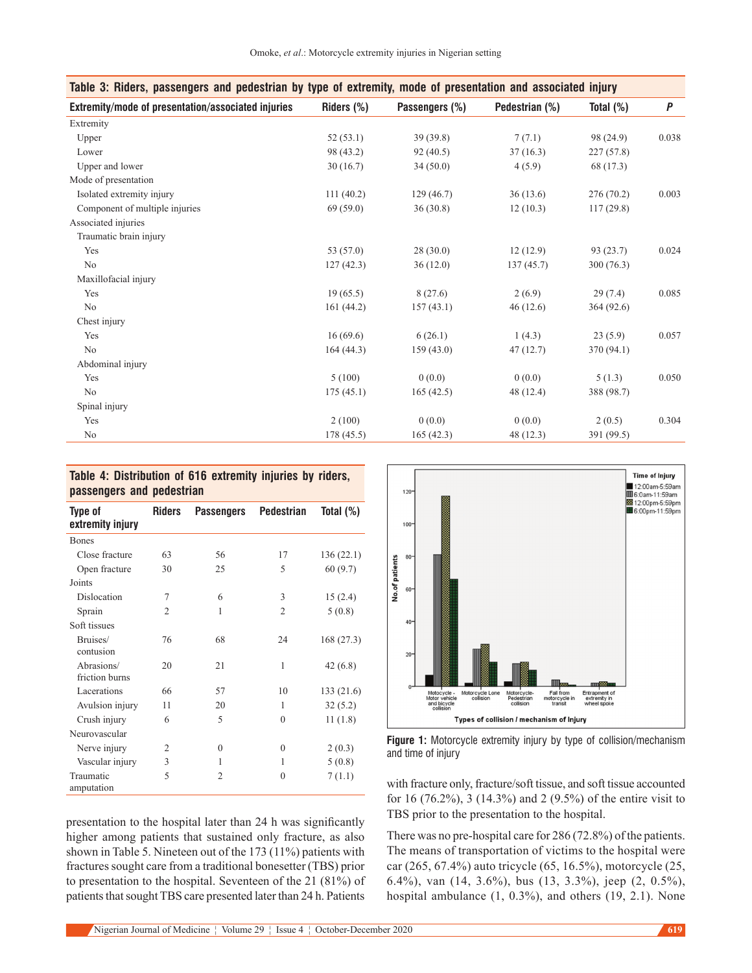| Table 3: Riders, passengers and pedestrian by type of extremity, mode of presentation and associated injury |            |                |                |              |       |  |  |
|-------------------------------------------------------------------------------------------------------------|------------|----------------|----------------|--------------|-------|--|--|
| Extremity/mode of presentation/associated injuries                                                          | Riders (%) | Passengers (%) | Pedestrian (%) | Total $(\%)$ | P     |  |  |
| Extremity                                                                                                   |            |                |                |              |       |  |  |
| Upper                                                                                                       | 52(53.1)   | 39(39.8)       | 7(7.1)         | 98 (24.9)    | 0.038 |  |  |
| Lower                                                                                                       | 98 (43.2)  | 92(40.5)       | 37(16.3)       | 227(57.8)    |       |  |  |
| Upper and lower                                                                                             | 30(16.7)   | 34(50.0)       | 4(5.9)         | 68 (17.3)    |       |  |  |
| Mode of presentation                                                                                        |            |                |                |              |       |  |  |
| Isolated extremity injury                                                                                   | 111(40.2)  | 129(46.7)      | 36(13.6)       | 276 (70.2)   | 0.003 |  |  |
| Component of multiple injuries                                                                              | 69(59.0)   | 36(30.8)       | 12(10.3)       | 117(29.8)    |       |  |  |
| Associated injuries                                                                                         |            |                |                |              |       |  |  |
| Traumatic brain injury                                                                                      |            |                |                |              |       |  |  |
| Yes                                                                                                         | 53 (57.0)  | 28(30.0)       | 12(12.9)       | 93 (23.7)    | 0.024 |  |  |
| No                                                                                                          | 127(42.3)  | 36(12.0)       | 137(45.7)      | 300(76.3)    |       |  |  |
| Maxillofacial injury                                                                                        |            |                |                |              |       |  |  |
| Yes                                                                                                         | 19(65.5)   | 8(27.6)        | 2(6.9)         | 29(7.4)      | 0.085 |  |  |
| No                                                                                                          | 161(44.2)  | 157(43.1)      | 46(12.6)       | 364(92.6)    |       |  |  |
| Chest injury                                                                                                |            |                |                |              |       |  |  |
| Yes                                                                                                         | 16(69.6)   | 6(26.1)        | 1(4.3)         | 23(5.9)      | 0.057 |  |  |
| No                                                                                                          | 164(44.3)  | 159(43.0)      | 47(12.7)       | 370 (94.1)   |       |  |  |
| Abdominal injury                                                                                            |            |                |                |              |       |  |  |
| Yes                                                                                                         | 5(100)     | 0(0.0)         | 0(0.0)         | 5(1.3)       | 0.050 |  |  |
| No                                                                                                          | 175(45.1)  | 165(42.5)      | 48 (12.4)      | 388 (98.7)   |       |  |  |
| Spinal injury                                                                                               |            |                |                |              |       |  |  |
| Yes                                                                                                         | 2(100)     | 0(0.0)         | 0(0.0)         | 2(0.5)       | 0.304 |  |  |
| No                                                                                                          | 178 (45.5) | 165(42.3)      | 48 (12.3)      | 391 (99.5)   |       |  |  |

## **Table 4: Distribution of 616 extremity injuries by riders, passengers and pedestrian**

| Type of<br>extremity injury  | <b>Riders</b>  | <b>Passengers</b> | Pedestrian     | Total $(\%)$ |
|------------------------------|----------------|-------------------|----------------|--------------|
| <b>Bones</b>                 |                |                   |                |              |
| Close fracture               | 63             | 56                | 17             | 136(22.1)    |
| Open fracture                | 30             | 25                | 5              | 60(9.7)      |
| Joints                       |                |                   |                |              |
| Dislocation                  | 7              | 6                 | 3              | 15(2.4)      |
| Sprain                       | $\overline{2}$ | 1                 | $\overline{2}$ | 5(0.8)       |
| Soft tissues                 |                |                   |                |              |
| Bruises/<br>contusion        | 76             | 68                | 24             | 168(27.3)    |
| Abrasions/<br>friction burns | 20             | 21                | 1              | 42(6.8)      |
| Lacerations                  | 66             | 57                | 10             | 133 (21.6)   |
| Avulsion injury              | 11             | 20                | 1              | 32(5.2)      |
| Crush injury                 | 6              | 5                 | $\theta$       | 11(1.8)      |
| Neurovascular                |                |                   |                |              |
| Nerve injury                 | 2              | $\theta$          | $\mathbf{0}$   | 2(0.3)       |
| Vascular injury              | 3              | 1                 | 1              | 5(0.8)       |
| Traumatic<br>amputation      | 5              | $\overline{2}$    | $\theta$       | 7(1.1)       |



**Figure 1:** Motorcycle extremity injury by type of collision/mechanism and time of injury

with fracture only, fracture/soft tissue, and soft tissue accounted for 16 (76.2%), 3 (14.3%) and 2 (9.5%) of the entire visit to TBS prior to the presentation to the hospital.

presentation to the hospital later than 24 h was significantly higher among patients that sustained only fracture, as also shown in Table 5. Nineteen out of the 173 (11%) patients with fractures sought care from a traditional bonesetter (TBS) prior to presentation to the hospital. Seventeen of the 21 (81%) of patients that sought TBS care presented later than 24 h. Patients

There was no pre-hospital care for 286 (72.8%) of the patients. The means of transportation of victims to the hospital were car (265, 67.4%) auto tricycle (65, 16.5%), motorcycle (25, 6.4%), van (14, 3.6%), bus (13, 3.3%), jeep (2, 0.5%), hospital ambulance (1, 0.3%), and others (19, 2.1). None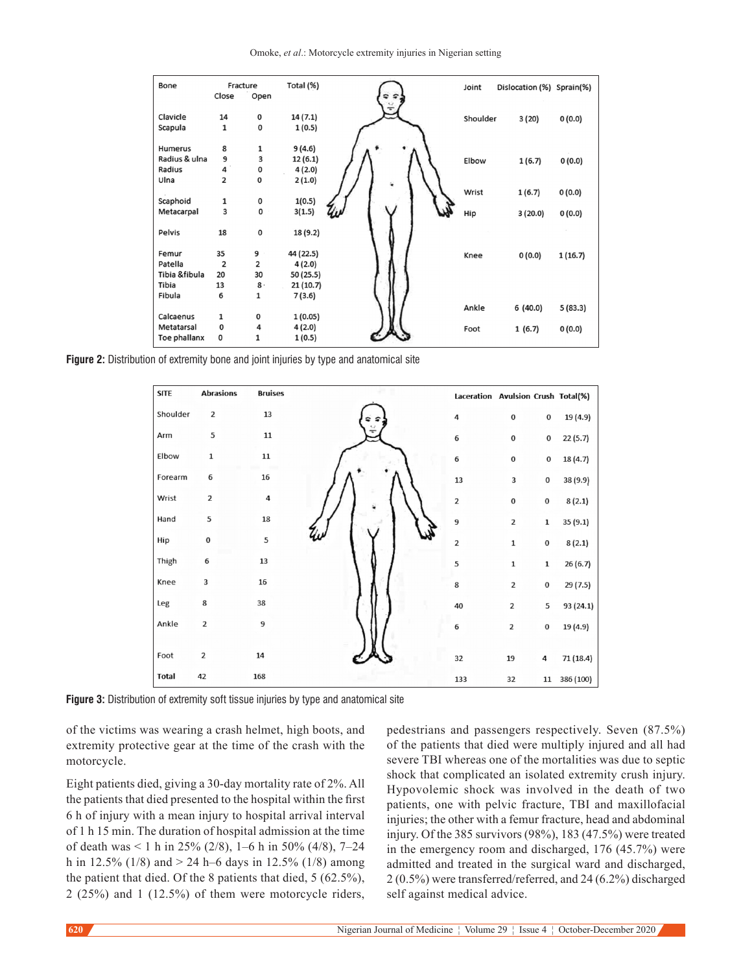Omoke, *et al*.: Motorcycle extremity injuries in Nigerian setting

| Bone          |             | Fracture     | Total (%) | Joint    | Dislocation (%) Sprain(%) |         |
|---------------|-------------|--------------|-----------|----------|---------------------------|---------|
|               | Close       | Open         |           |          |                           |         |
| Clavicle      | 14          | 0            | 14(7.1)   | Shoulder | 3(20)                     | 0(0.0)  |
| Scapula       | 1           | $\bf{0}$     | 1(0.5)    |          |                           |         |
|               |             |              |           |          |                           |         |
| Humerus       | 8           | 1            | 9(4.6)    |          |                           |         |
| Radius & ulna | 9           | 3            | 12(6.1)   | Elbow    | 1(6.7)                    | 0(0.0)  |
| Radius        | 4           | 0            | 4(2.0)    |          |                           |         |
| Ulna          | 2           | 0            | 2(1.0)    |          |                           |         |
|               |             |              |           | Wrist    | 1(6.7)                    | 0(0.0)  |
| Scaphoid      | 1           | 0            | 1(0.5)    |          |                           |         |
| Metacarpal    | 3           | 0            | 3(1.5)    | Hip      | 3(20.0)                   | 0(0.0)  |
|               |             |              |           |          |                           |         |
| Pelvis        | 18          | $\pmb{0}$    | 18 (9.2)  |          |                           |         |
|               |             |              |           |          |                           |         |
| Femur         | 35          | 9            | 44 (22.5) | Knee     | 0(0.0)                    | 1(16.7) |
| Patella       | 2           | 2            | 4(2.0)    |          |                           |         |
| Tibia &fibula | 20          | 30           | 50 (25.5) |          |                           |         |
| Tibia         | 13          | $8 \cdot$    | 21(10.7)  |          |                           |         |
| Fibula        | 6           | $\mathbf{1}$ | 7(3.6)    |          |                           |         |
|               |             |              |           | Ankle    | 6(40.0)                   | 5(83.3) |
| Calcaenus     | 1           | 0            | 1(0.05)   |          |                           |         |
| Metatarsal    | 0           | 4            | 4(2.0)    | Foot     | 1(6.7)                    | 0(0.0)  |
| Toe phallanx  | $\mathbf 0$ | 1            | 1(0.5)    |          |                           |         |

**Figure 2:** Distribution of extremity bone and joint injuries by type and anatomical site



**Figure 3:** Distribution of extremity soft tissue injuries by type and anatomical site

of the victims was wearing a crash helmet, high boots, and extremity protective gear at the time of the crash with the motorcycle.

Eight patients died, giving a 30‑day mortality rate of 2%. All the patients that died presented to the hospital within the first 6 h of injury with a mean injury to hospital arrival interval of 1 h 15 min. The duration of hospital admission at the time of death was  $\leq 1$  h in 25% (2/8), 1–6 h in 50% (4/8), 7–24 h in 12.5% (1/8) and  $> 24$  h–6 days in 12.5% (1/8) among the patient that died. Of the 8 patients that died, 5 (62.5%), 2 (25%) and 1 (12.5%) of them were motorcycle riders,

pedestrians and passengers respectively. Seven (87.5%) of the patients that died were multiply injured and all had severe TBI whereas one of the mortalities was due to septic shock that complicated an isolated extremity crush injury. Hypovolemic shock was involved in the death of two patients, one with pelvic fracture, TBI and maxillofacial injuries; the other with a femur fracture, head and abdominal injury. Of the 385 survivors (98%), 183 (47.5%) were treated in the emergency room and discharged, 176 (45.7%) were admitted and treated in the surgical ward and discharged, 2 (0.5%) were transferred/referred, and 24 (6.2%) discharged self against medical advice.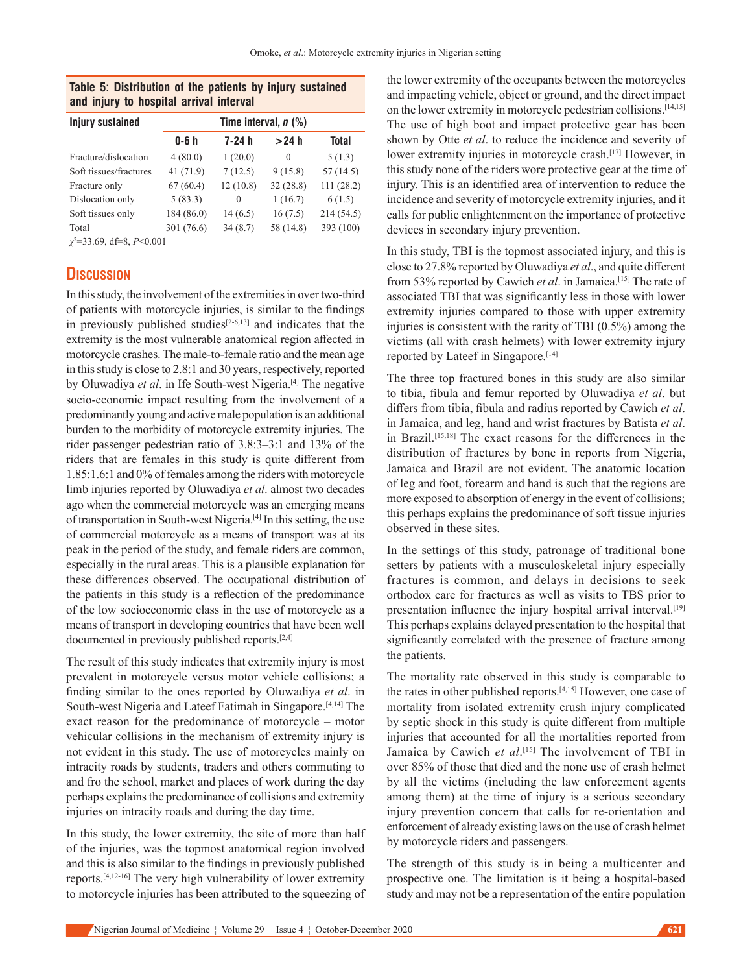#### **Table 5: Distribution of the patients by injury sustained and injury to hospital arrival interval**

| <b>Injury sustained</b> | Time interval, $n$ (%) |          |           |           |  |  |  |  |
|-------------------------|------------------------|----------|-----------|-----------|--|--|--|--|
|                         | 0-6 h                  | 7-24 h   | >24 h     | Total     |  |  |  |  |
| Fracture/dislocation    | 4(80.0)                | 1(20.0)  | $\theta$  | 5(1.3)    |  |  |  |  |
| Soft tissues/fractures  | 41(71.9)               | 7(12.5)  | 9(15.8)   | 57(14.5)  |  |  |  |  |
| Fracture only           | 67(60.4)               | 12(10.8) | 32(28.8)  | 111(28.2) |  |  |  |  |
| Dislocation only        | 5(83.3)                | $\theta$ | 1(16.7)   | 6(1.5)    |  |  |  |  |
| Soft tissues only       | 184 (86.0)             | 14(6.5)  | 16(7.5)   | 214(54.5) |  |  |  |  |
| Total                   | 301 (76.6)             | 34(8.7)  | 58 (14.8) | 393 (100) |  |  |  |  |
|                         |                        |          |           |           |  |  |  |  |

*χ*2 =33.69, df=8, *P*<0.001

# **Discussion**

In this study, the involvement of the extremities in over two-third of patients with motorcycle injuries, is similar to the findings in previously published studies $[2-6,13]$  and indicates that the extremity is the most vulnerable anatomical region affected in motorcycle crashes. The male-to-female ratio and the mean age in this study is close to 2.8:1 and 30 years, respectively, reported by Oluwadiya *et al*. in Ife South‑west Nigeria.[4] The negative socio-economic impact resulting from the involvement of a predominantly young and active male population is an additional burden to the morbidity of motorcycle extremity injuries. The rider passenger pedestrian ratio of 3.8:3–3:1 and 13% of the riders that are females in this study is quite different from 1.85:1.6:1 and 0% of females among the riders with motorcycle limb injuries reported by Oluwadiya *et al*. almost two decades ago when the commercial motorcycle was an emerging means of transportation in South-west Nigeria.<sup>[4]</sup> In this setting, the use of commercial motorcycle as a means of transport was at its peak in the period of the study, and female riders are common, especially in the rural areas. This is a plausible explanation for these differences observed. The occupational distribution of the patients in this study is a reflection of the predominance of the low socioeconomic class in the use of motorcycle as a means of transport in developing countries that have been well documented in previously published reports.[2,4]

The result of this study indicates that extremity injury is most prevalent in motorcycle versus motor vehicle collisions; a finding similar to the ones reported by Oluwadiya *et al*. in South-west Nigeria and Lateef Fatimah in Singapore.[4,14] The exact reason for the predominance of motorcycle – motor vehicular collisions in the mechanism of extremity injury is not evident in this study. The use of motorcycles mainly on intracity roads by students, traders and others commuting to and fro the school, market and places of work during the day perhaps explains the predominance of collisions and extremity injuries on intracity roads and during the day time.

In this study, the lower extremity, the site of more than half of the injuries, was the topmost anatomical region involved and this is also similar to the findings in previously published reports.[4,12-16] The very high vulnerability of lower extremity to motorcycle injuries has been attributed to the squeezing of

the lower extremity of the occupants between the motorcycles and impacting vehicle, object or ground, and the direct impact on the lower extremity in motorcycle pedestrian collisions.[14,15] The use of high boot and impact protective gear has been shown by Otte *et al*. to reduce the incidence and severity of lower extremity injuries in motorcycle crash.<sup>[17]</sup> However, in this study none of the riders wore protective gear at the time of injury. This is an identified area of intervention to reduce the incidence and severity of motorcycle extremity injuries, and it calls for public enlightenment on the importance of protective devices in secondary injury prevention.

In this study, TBI is the topmost associated injury, and this is close to 27.8% reported by Oluwadiya *et al*., and quite different from 53% reported by Cawich *et al*. in Jamaica.[15] The rate of associated TBI that was significantly less in those with lower extremity injuries compared to those with upper extremity injuries is consistent with the rarity of TBI (0.5%) among the victims (all with crash helmets) with lower extremity injury reported by Lateef in Singapore.<sup>[14]</sup>

The three top fractured bones in this study are also similar to tibia, fibula and femur reported by Oluwadiya *et al*. but differs from tibia, fibula and radius reported by Cawich *et al*. in Jamaica, and leg, hand and wrist fractures by Batista *et al*. in Brazil.[15,18] The exact reasons for the differences in the distribution of fractures by bone in reports from Nigeria, Jamaica and Brazil are not evident. The anatomic location of leg and foot, forearm and hand is such that the regions are more exposed to absorption of energy in the event of collisions; this perhaps explains the predominance of soft tissue injuries observed in these sites.

In the settings of this study, patronage of traditional bone setters by patients with a musculoskeletal injury especially fractures is common, and delays in decisions to seek orthodox care for fractures as well as visits to TBS prior to presentation influence the injury hospital arrival interval.<sup>[19]</sup> This perhaps explains delayed presentation to the hospital that significantly correlated with the presence of fracture among the patients.

The mortality rate observed in this study is comparable to the rates in other published reports.[4,15] However, one case of mortality from isolated extremity crush injury complicated by septic shock in this study is quite different from multiple injuries that accounted for all the mortalities reported from Jamaica by Cawich *et al*. [15] The involvement of TBI in over 85% of those that died and the none use of crash helmet by all the victims (including the law enforcement agents among them) at the time of injury is a serious secondary injury prevention concern that calls for re‑orientation and enforcement of already existing laws on the use of crash helmet by motorcycle riders and passengers.

The strength of this study is in being a multicenter and prospective one. The limitation is it being a hospital-based study and may not be a representation of the entire population